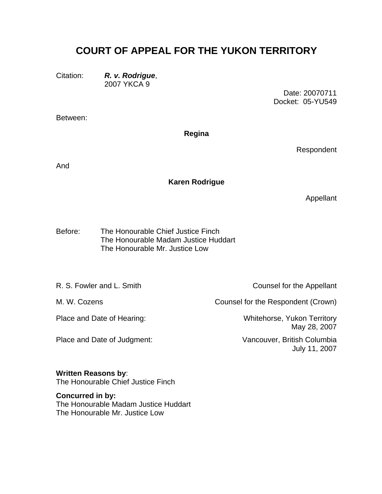# **COURT OF APPEAL FOR THE YUKON TERRITORY**

Citation: *R. v. Rodrigue*, 2007 YKCA 9

> Date: 20070711 Docket: 05-YU549

Between:

# **Regina**

Respondent

And

# **Karen Rodrigue**

Appellant

The Honourable Chief Justice Finch The Honourable Madam Justice Huddart Before: The Honourable Mr. Justice Low

Place and Date of Judgment: Vancouver, British Columbia

R. S. Fowler and L. Smith Counsel for the Appellant

M. W. Cozens **Counsel for the Respondent (Crown)** 

Place and Date of Hearing: Whitehorse, Yukon Territory May 28, 2007

July 11, 2007

## **Written Reasons by**:

The Honourable Chief Justice Finch

# **Concurred in by:**

The Honourable Madam Justice Huddart The Honourable Mr. Justice Low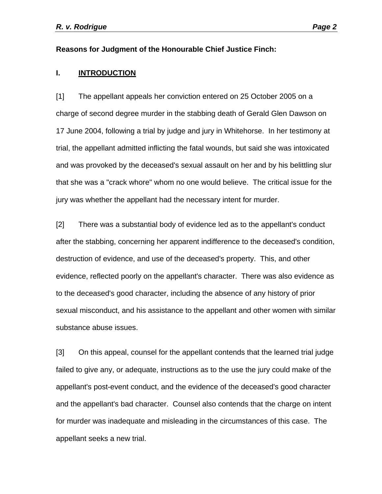#### **Reasons for Judgment of the Honourable Chief Justice Finch:**

## **I. INTRODUCTION**

[1] The appellant appeals her conviction entered on 25 October 2005 on a charge of second degree murder in the stabbing death of Gerald Glen Dawson on 17 June 2004, following a trial by judge and jury in Whitehorse. In her testimony at trial, the appellant admitted inflicting the fatal wounds, but said she was intoxicated and was provoked by the deceased's sexual assault on her and by his belittling slur that she was a "crack whore" whom no one would believe. The critical issue for the jury was whether the appellant had the necessary intent for murder.

[2] There was a substantial body of evidence led as to the appellant's conduct after the stabbing, concerning her apparent indifference to the deceased's condition, destruction of evidence, and use of the deceased's property. This, and other evidence, reflected poorly on the appellant's character. There was also evidence as to the deceased's good character, including the absence of any history of prior sexual misconduct, and his assistance to the appellant and other women with similar substance abuse issues.

[3] On this appeal, counsel for the appellant contends that the learned trial judge failed to give any, or adequate, instructions as to the use the jury could make of the appellant's post-event conduct, and the evidence of the deceased's good character and the appellant's bad character. Counsel also contends that the charge on intent for murder was inadequate and misleading in the circumstances of this case. The appellant seeks a new trial.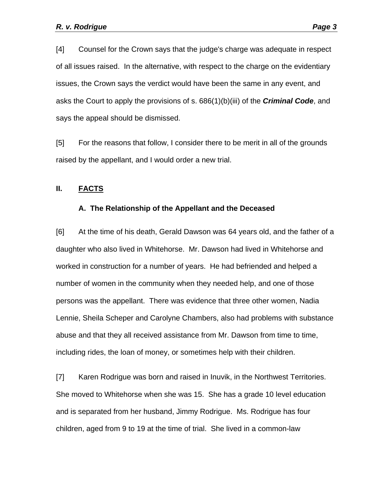[4] Counsel for the Crown says that the judge's charge was adequate in respect of all issues raised. In the alternative, with respect to the charge on the evidentiary issues, the Crown says the verdict would have been the same in any event, and asks the Court to apply the provisions of s. 686(1)(b)(iii) of the *Criminal Code*, and says the appeal should be dismissed.

[5] For the reasons that follow, I consider there to be merit in all of the grounds raised by the appellant, and I would order a new trial.

#### **II. FACTS**

#### **A. The Relationship of the Appellant and the Deceased**

[6] At the time of his death, Gerald Dawson was 64 years old, and the father of a daughter who also lived in Whitehorse. Mr. Dawson had lived in Whitehorse and worked in construction for a number of years. He had befriended and helped a number of women in the community when they needed help, and one of those persons was the appellant. There was evidence that three other women, Nadia Lennie, Sheila Scheper and Carolyne Chambers, also had problems with substance abuse and that they all received assistance from Mr. Dawson from time to time, including rides, the loan of money, or sometimes help with their children.

[7] Karen Rodrigue was born and raised in Inuvik, in the Northwest Territories. She moved to Whitehorse when she was 15. She has a grade 10 level education and is separated from her husband, Jimmy Rodrigue. Ms. Rodrigue has four children, aged from 9 to 19 at the time of trial. She lived in a common-law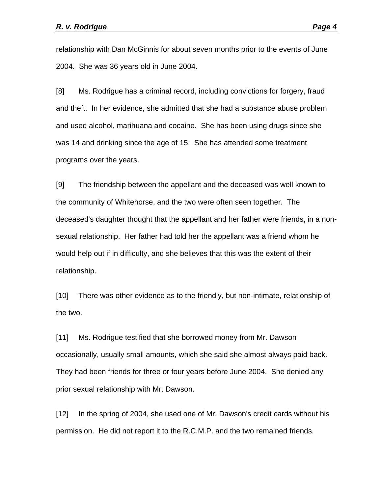relationship with Dan McGinnis for about seven months prior to the events of June 2004. She was 36 years old in June 2004.

[8] Ms. Rodrigue has a criminal record, including convictions for forgery, fraud and theft. In her evidence, she admitted that she had a substance abuse problem and used alcohol, marihuana and cocaine. She has been using drugs since she was 14 and drinking since the age of 15. She has attended some treatment programs over the years.

[9] The friendship between the appellant and the deceased was well known to the community of Whitehorse, and the two were often seen together. The deceased's daughter thought that the appellant and her father were friends, in a nonsexual relationship. Her father had told her the appellant was a friend whom he would help out if in difficulty, and she believes that this was the extent of their relationship.

[10] There was other evidence as to the friendly, but non-intimate, relationship of the two.

[11] Ms. Rodrigue testified that she borrowed money from Mr. Dawson occasionally, usually small amounts, which she said she almost always paid back. They had been friends for three or four years before June 2004. She denied any prior sexual relationship with Mr. Dawson.

[12] In the spring of 2004, she used one of Mr. Dawson's credit cards without his permission. He did not report it to the R.C.M.P. and the two remained friends.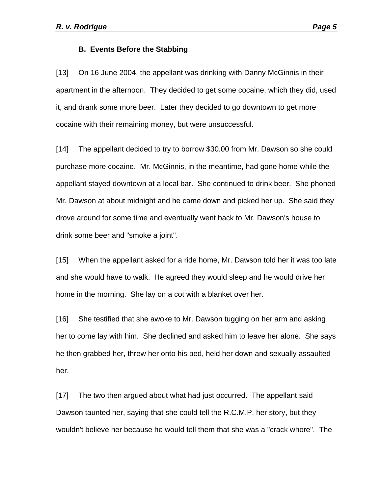#### **B. Events Before the Stabbing**

[13] On 16 June 2004, the appellant was drinking with Danny McGinnis in their apartment in the afternoon. They decided to get some cocaine, which they did, used it, and drank some more beer. Later they decided to go downtown to get more cocaine with their remaining money, but were unsuccessful.

[14] The appellant decided to try to borrow \$30.00 from Mr. Dawson so she could purchase more cocaine. Mr. McGinnis, in the meantime, had gone home while the appellant stayed downtown at a local bar. She continued to drink beer. She phoned Mr. Dawson at about midnight and he came down and picked her up. She said they drove around for some time and eventually went back to Mr. Dawson's house to drink some beer and "smoke a joint".

[15] When the appellant asked for a ride home, Mr. Dawson told her it was too late and she would have to walk. He agreed they would sleep and he would drive her home in the morning. She lay on a cot with a blanket over her.

[16] She testified that she awoke to Mr. Dawson tugging on her arm and asking her to come lay with him. She declined and asked him to leave her alone. She says he then grabbed her, threw her onto his bed, held her down and sexually assaulted her.

[17] The two then argued about what had just occurred. The appellant said Dawson taunted her, saying that she could tell the R.C.M.P. her story, but they wouldn't believe her because he would tell them that she was a "crack whore". The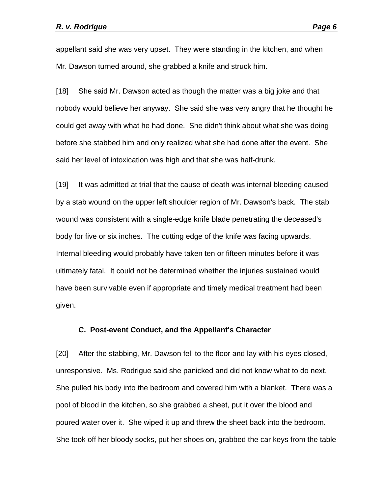appellant said she was very upset. They were standing in the kitchen, and when Mr. Dawson turned around, she grabbed a knife and struck him.

[18] She said Mr. Dawson acted as though the matter was a big joke and that nobody would believe her anyway. She said she was very angry that he thought he could get away with what he had done. She didn't think about what she was doing before she stabbed him and only realized what she had done after the event. She said her level of intoxication was high and that she was half-drunk.

[19] It was admitted at trial that the cause of death was internal bleeding caused by a stab wound on the upper left shoulder region of Mr. Dawson's back. The stab wound was consistent with a single-edge knife blade penetrating the deceased's body for five or six inches. The cutting edge of the knife was facing upwards. Internal bleeding would probably have taken ten or fifteen minutes before it was ultimately fatal. It could not be determined whether the injuries sustained would have been survivable even if appropriate and timely medical treatment had been given.

#### **C. Post-event Conduct, and the Appellant's Character**

[20] After the stabbing, Mr. Dawson fell to the floor and lay with his eyes closed, unresponsive. Ms. Rodrigue said she panicked and did not know what to do next. She pulled his body into the bedroom and covered him with a blanket. There was a pool of blood in the kitchen, so she grabbed a sheet, put it over the blood and poured water over it. She wiped it up and threw the sheet back into the bedroom. She took off her bloody socks, put her shoes on, grabbed the car keys from the table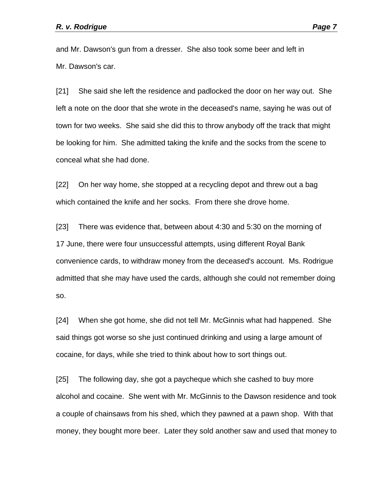and Mr. Dawson's gun from a dresser. She also took some beer and left in Mr. Dawson's car.

[21] She said she left the residence and padlocked the door on her way out. She left a note on the door that she wrote in the deceased's name, saying he was out of town for two weeks. She said she did this to throw anybody off the track that might be looking for him. She admitted taking the knife and the socks from the scene to conceal what she had done.

[22] On her way home, she stopped at a recycling depot and threw out a bag which contained the knife and her socks. From there she drove home.

[23] There was evidence that, between about 4:30 and 5:30 on the morning of 17 June, there were four unsuccessful attempts, using different Royal Bank convenience cards, to withdraw money from the deceased's account. Ms. Rodrigue admitted that she may have used the cards, although she could not remember doing so.

[24] When she got home, she did not tell Mr. McGinnis what had happened. She said things got worse so she just continued drinking and using a large amount of cocaine, for days, while she tried to think about how to sort things out.

[25] The following day, she got a paycheque which she cashed to buy more alcohol and cocaine. She went with Mr. McGinnis to the Dawson residence and took a couple of chainsaws from his shed, which they pawned at a pawn shop. With that money, they bought more beer. Later they sold another saw and used that money to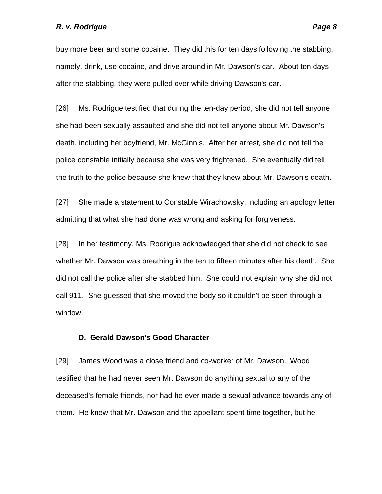buy more beer and some cocaine. They did this for ten days following the stabbing, namely, drink, use cocaine, and drive around in Mr. Dawson's car. About ten days after the stabbing, they were pulled over while driving Dawson's car.

[26] Ms. Rodrigue testified that during the ten-day period, she did not tell anyone she had been sexually assaulted and she did not tell anyone about Mr. Dawson's death, including her boyfriend, Mr. McGinnis. After her arrest, she did not tell the police constable initially because she was very frightened. She eventually did tell the truth to the police because she knew that they knew about Mr. Dawson's death.

[27] She made a statement to Constable Wirachowsky, including an apology letter admitting that what she had done was wrong and asking for forgiveness.

[28] In her testimony, Ms. Rodrigue acknowledged that she did not check to see whether Mr. Dawson was breathing in the ten to fifteen minutes after his death. She did not call the police after she stabbed him. She could not explain why she did not call 911. She guessed that she moved the body so it couldn't be seen through a window.

#### **D. Gerald Dawson's Good Character**

[29] James Wood was a close friend and co-worker of Mr. Dawson. Wood testified that he had never seen Mr. Dawson do anything sexual to any of the deceased's female friends, nor had he ever made a sexual advance towards any of them. He knew that Mr. Dawson and the appellant spent time together, but he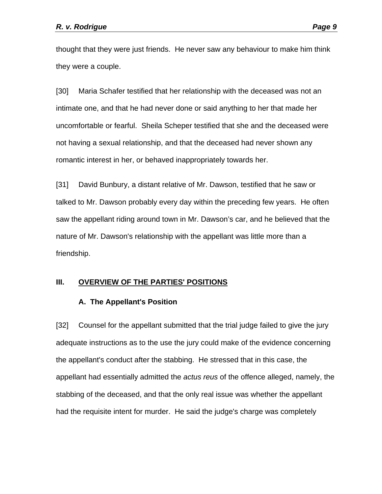thought that they were just friends. He never saw any behaviour to make him think they were a couple.

[30] Maria Schafer testified that her relationship with the deceased was not an intimate one, and that he had never done or said anything to her that made her uncomfortable or fearful. Sheila Scheper testified that she and the deceased were not having a sexual relationship, and that the deceased had never shown any romantic interest in her, or behaved inappropriately towards her.

[31] David Bunbury, a distant relative of Mr. Dawson, testified that he saw or talked to Mr. Dawson probably every day within the preceding few years. He often saw the appellant riding around town in Mr. Dawson's car, and he believed that the nature of Mr. Dawson's relationship with the appellant was little more than a friendship.

## **III. OVERVIEW OF THE PARTIES' POSITIONS**

## **A. The Appellant's Position**

[32] Counsel for the appellant submitted that the trial judge failed to give the jury adequate instructions as to the use the jury could make of the evidence concerning the appellant's conduct after the stabbing. He stressed that in this case, the appellant had essentially admitted the *actus reus* of the offence alleged, namely, the stabbing of the deceased, and that the only real issue was whether the appellant had the requisite intent for murder. He said the judge's charge was completely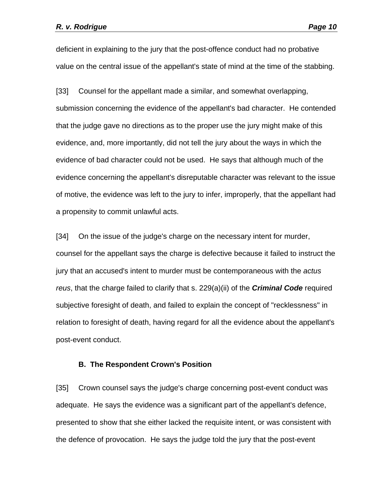deficient in explaining to the jury that the post-offence conduct had no probative value on the central issue of the appellant's state of mind at the time of the stabbing.

[33] Counsel for the appellant made a similar, and somewhat overlapping, submission concerning the evidence of the appellant's bad character. He contended that the judge gave no directions as to the proper use the jury might make of this evidence, and, more importantly, did not tell the jury about the ways in which the evidence of bad character could not be used. He says that although much of the evidence concerning the appellant's disreputable character was relevant to the issue of motive, the evidence was left to the jury to infer, improperly, that the appellant had a propensity to commit unlawful acts.

[34] On the issue of the judge's charge on the necessary intent for murder, counsel for the appellant says the charge is defective because it failed to instruct the jury that an accused's intent to murder must be contemporaneous with the *actus reus*, that the charge failed to clarify that s. 229(a)(ii) of the *Criminal Code* required subjective foresight of death, and failed to explain the concept of "recklessness" in relation to foresight of death, having regard for all the evidence about the appellant's post-event conduct.

#### **B. The Respondent Crown's Position**

[35] Crown counsel says the judge's charge concerning post-event conduct was adequate. He says the evidence was a significant part of the appellant's defence, presented to show that she either lacked the requisite intent, or was consistent with the defence of provocation. He says the judge told the jury that the post-event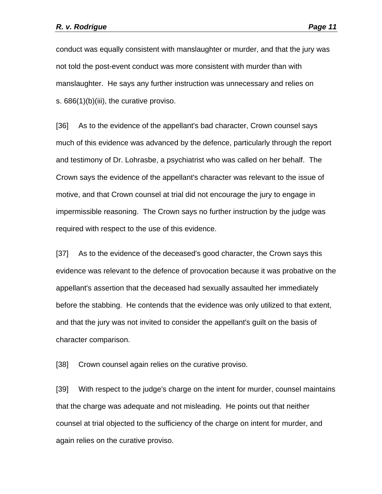conduct was equally consistent with manslaughter or murder, and that the jury was not told the post-event conduct was more consistent with murder than with manslaughter. He says any further instruction was unnecessary and relies on s. 686(1)(b)(iii), the curative proviso.

[36] As to the evidence of the appellant's bad character, Crown counsel says much of this evidence was advanced by the defence, particularly through the report and testimony of Dr. Lohrasbe, a psychiatrist who was called on her behalf. The Crown says the evidence of the appellant's character was relevant to the issue of motive, and that Crown counsel at trial did not encourage the jury to engage in impermissible reasoning. The Crown says no further instruction by the judge was required with respect to the use of this evidence.

[37] As to the evidence of the deceased's good character, the Crown says this evidence was relevant to the defence of provocation because it was probative on the appellant's assertion that the deceased had sexually assaulted her immediately before the stabbing. He contends that the evidence was only utilized to that extent, and that the jury was not invited to consider the appellant's guilt on the basis of character comparison.

[38] Crown counsel again relies on the curative proviso.

[39] With respect to the judge's charge on the intent for murder, counsel maintains that the charge was adequate and not misleading. He points out that neither counsel at trial objected to the sufficiency of the charge on intent for murder, and again relies on the curative proviso.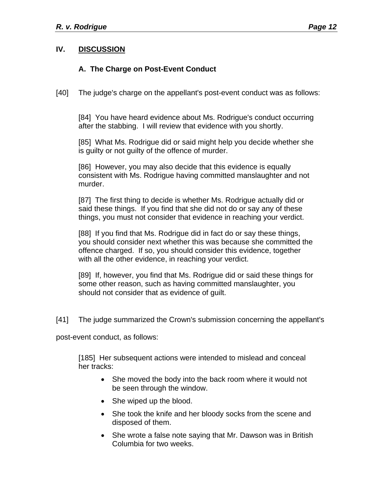# **IV. DISCUSSION**

# **A. The Charge on Post-Event Conduct**

[40] The judge's charge on the appellant's post-event conduct was as follows:

[84] You have heard evidence about Ms. Rodrigue's conduct occurring after the stabbing. I will review that evidence with you shortly.

[85] What Ms. Rodrigue did or said might help you decide whether she is guilty or not guilty of the offence of murder.

[86] However, you may also decide that this evidence is equally consistent with Ms. Rodrigue having committed manslaughter and not murder.

[87] The first thing to decide is whether Ms. Rodrigue actually did or said these things. If you find that she did not do or say any of these things, you must not consider that evidence in reaching your verdict.

[88] If you find that Ms. Rodrigue did in fact do or say these things, you should consider next whether this was because she committed the offence charged. If so, you should consider this evidence, together with all the other evidence, in reaching your verdict.

[89] If, however, you find that Ms. Rodrigue did or said these things for some other reason, such as having committed manslaughter, you should not consider that as evidence of guilt.

[41] The judge summarized the Crown's submission concerning the appellant's

post-event conduct, as follows:

[185] Her subsequent actions were intended to mislead and conceal her tracks:

- She moved the body into the back room where it would not be seen through the window.
- She wiped up the blood.
- She took the knife and her bloody socks from the scene and disposed of them.
- She wrote a false note saying that Mr. Dawson was in British Columbia for two weeks.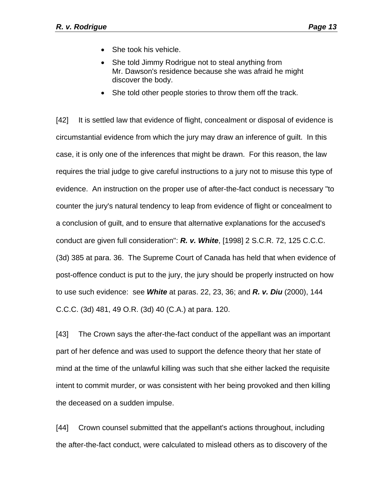- She took his vehicle.
- She told Jimmy Rodrigue not to steal anything from Mr. Dawson's residence because she was afraid he might discover the body.
- She told other people stories to throw them off the track.

[42] It is settled law that evidence of flight, concealment or disposal of evidence is circumstantial evidence from which the jury may draw an inference of guilt. In this case, it is only one of the inferences that might be drawn. For this reason, the law requires the trial judge to give careful instructions to a jury not to misuse this type of evidence. An instruction on the proper use of after-the-fact conduct is necessary "to counter the jury's natural tendency to leap from evidence of flight or concealment to a conclusion of guilt, and to ensure that alternative explanations for the accused's conduct are given full consideration": *R. v. White*, [1998] 2 S.C.R. 72, 125 C.C.C. (3d) 385 at para. 36. The Supreme Court of Canada has held that when evidence of post-offence conduct is put to the jury, the jury should be properly instructed on how to use such evidence: see *White* at paras. 22, 23, 36; and *R. v. Diu* (2000), 144 C.C.C. (3d) 481, 49 O.R. (3d) 40 (C.A.) at para. 120.

[43] The Crown says the after-the-fact conduct of the appellant was an important part of her defence and was used to support the defence theory that her state of mind at the time of the unlawful killing was such that she either lacked the requisite intent to commit murder, or was consistent with her being provoked and then killing the deceased on a sudden impulse.

[44] Crown counsel submitted that the appellant's actions throughout, including the after-the-fact conduct, were calculated to mislead others as to discovery of the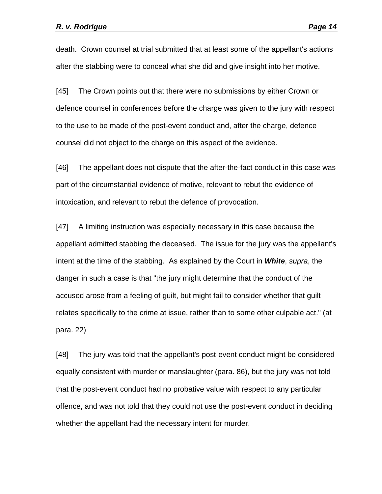death. Crown counsel at trial submitted that at least some of the appellant's actions after the stabbing were to conceal what she did and give insight into her motive.

[45] The Crown points out that there were no submissions by either Crown or defence counsel in conferences before the charge was given to the jury with respect to the use to be made of the post-event conduct and, after the charge, defence counsel did not object to the charge on this aspect of the evidence.

[46] The appellant does not dispute that the after-the-fact conduct in this case was part of the circumstantial evidence of motive, relevant to rebut the evidence of intoxication, and relevant to rebut the defence of provocation.

[47] A limiting instruction was especially necessary in this case because the appellant admitted stabbing the deceased. The issue for the jury was the appellant's intent at the time of the stabbing. As explained by the Court in *White*, *supra*, the danger in such a case is that "the jury might determine that the conduct of the accused arose from a feeling of guilt, but might fail to consider whether that guilt relates specifically to the crime at issue, rather than to some other culpable act." (at para. 22)

[48] The jury was told that the appellant's post-event conduct might be considered equally consistent with murder or manslaughter (para. 86), but the jury was not told that the post-event conduct had no probative value with respect to any particular offence, and was not told that they could not use the post-event conduct in deciding whether the appellant had the necessary intent for murder.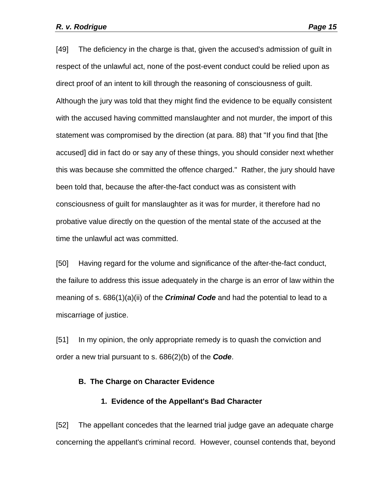[49] The deficiency in the charge is that, given the accused's admission of guilt in respect of the unlawful act, none of the post-event conduct could be relied upon as direct proof of an intent to kill through the reasoning of consciousness of guilt. Although the jury was told that they might find the evidence to be equally consistent with the accused having committed manslaughter and not murder, the import of this statement was compromised by the direction (at para. 88) that "If you find that [the accused] did in fact do or say any of these things, you should consider next whether this was because she committed the offence charged." Rather, the jury should have been told that, because the after-the-fact conduct was as consistent with consciousness of guilt for manslaughter as it was for murder, it therefore had no probative value directly on the question of the mental state of the accused at the time the unlawful act was committed.

[50] Having regard for the volume and significance of the after-the-fact conduct, the failure to address this issue adequately in the charge is an error of law within the meaning of s. 686(1)(a)(ii) of the *Criminal Code* and had the potential to lead to a miscarriage of justice.

[51] In my opinion, the only appropriate remedy is to quash the conviction and order a new trial pursuant to s. 686(2)(b) of the *Code*.

#### **B. The Charge on Character Evidence**

#### **1. Evidence of the Appellant's Bad Character**

[52] The appellant concedes that the learned trial judge gave an adequate charge concerning the appellant's criminal record. However, counsel contends that, beyond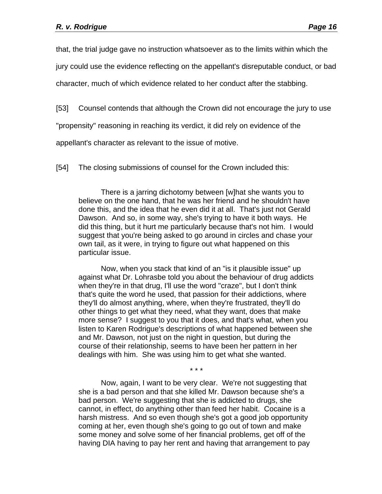that, the trial judge gave no instruction whatsoever as to the limits within which the

jury could use the evidence reflecting on the appellant's disreputable conduct, or bad

character, much of which evidence related to her conduct after the stabbing.

[53] Counsel contends that although the Crown did not encourage the jury to use

"propensity" reasoning in reaching its verdict, it did rely on evidence of the

appellant's character as relevant to the issue of motive.

[54] The closing submissions of counsel for the Crown included this:

 There is a jarring dichotomy between [w]hat she wants you to believe on the one hand, that he was her friend and he shouldn't have done this, and the idea that he even did it at all. That's just not Gerald Dawson. And so, in some way, she's trying to have it both ways. He did this thing, but it hurt me particularly because that's not him. I would suggest that you're being asked to go around in circles and chase your own tail, as it were, in trying to figure out what happened on this particular issue.

 Now, when you stack that kind of an "is it plausible issue" up against what Dr. Lohrasbe told you about the behaviour of drug addicts when they're in that drug, I'll use the word "craze", but I don't think that's quite the word he used, that passion for their addictions, where they'll do almost anything, where, when they're frustrated, they'll do other things to get what they need, what they want, does that make more sense? I suggest to you that it does, and that's what, when you listen to Karen Rodrigue's descriptions of what happened between she and Mr. Dawson, not just on the night in question, but during the course of their relationship, seems to have been her pattern in her dealings with him. She was using him to get what she wanted.

\* \* \*

 Now, again, I want to be very clear. We're not suggesting that she is a bad person and that she killed Mr. Dawson because she's a bad person. We're suggesting that she is addicted to drugs, she cannot, in effect, do anything other than feed her habit. Cocaine is a harsh mistress. And so even though she's got a good job opportunity coming at her, even though she's going to go out of town and make some money and solve some of her financial problems, get off of the having DIA having to pay her rent and having that arrangement to pay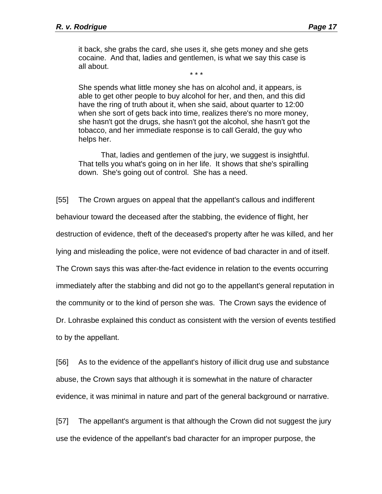it back, she grabs the card, she uses it, she gets money and she gets cocaine. And that, ladies and gentlemen, is what we say this case is all about.

\* \* \*

She spends what little money she has on alcohol and, it appears, is able to get other people to buy alcohol for her, and then, and this did have the ring of truth about it, when she said, about quarter to 12:00 when she sort of gets back into time, realizes there's no more money, she hasn't got the drugs, she hasn't got the alcohol, she hasn't got the tobacco, and her immediate response is to call Gerald, the guy who helps her.

 That, ladies and gentlemen of the jury, we suggest is insightful. That tells you what's going on in her life. It shows that she's spiralling down. She's going out of control. She has a need.

[55] The Crown argues on appeal that the appellant's callous and indifferent

behaviour toward the deceased after the stabbing, the evidence of flight, her

destruction of evidence, theft of the deceased's property after he was killed, and her

lying and misleading the police, were not evidence of bad character in and of itself.

The Crown says this was after-the-fact evidence in relation to the events occurring

immediately after the stabbing and did not go to the appellant's general reputation in

the community or to the kind of person she was. The Crown says the evidence of

Dr. Lohrasbe explained this conduct as consistent with the version of events testified

to by the appellant.

[56] As to the evidence of the appellant's history of illicit drug use and substance abuse, the Crown says that although it is somewhat in the nature of character evidence, it was minimal in nature and part of the general background or narrative.

[57] The appellant's argument is that although the Crown did not suggest the jury use the evidence of the appellant's bad character for an improper purpose, the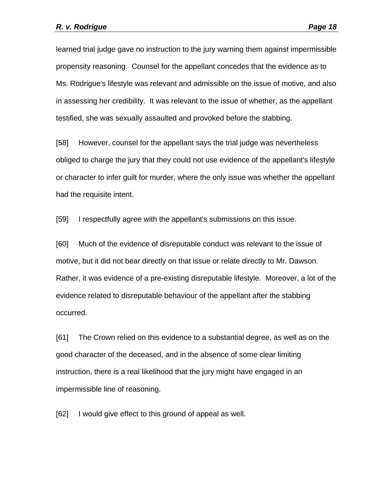learned trial judge gave no instruction to the jury warning them against impermissible propensity reasoning. Counsel for the appellant concedes that the evidence as to Ms. Rodrigue's lifestyle was relevant and admissible on the issue of motive, and also in assessing her credibility. It was relevant to the issue of whether, as the appellant testified, she was sexually assaulted and provoked before the stabbing.

[58] However, counsel for the appellant says the trial judge was nevertheless obliged to charge the jury that they could not use evidence of the appellant's lifestyle or character to infer guilt for murder, where the only issue was whether the appellant had the requisite intent.

[59] I respectfully agree with the appellant's submissions on this issue.

[60] Much of the evidence of disreputable conduct was relevant to the issue of motive, but it did not bear directly on that issue or relate directly to Mr. Dawson. Rather, it was evidence of a pre-existing disreputable lifestyle. Moreover, a lot of the evidence related to disreputable behaviour of the appellant after the stabbing occurred.

[61] The Crown relied on this evidence to a substantial degree, as well as on the good character of the deceased, and in the absence of some clear limiting instruction, there is a real likelihood that the jury might have engaged in an impermissible line of reasoning.

[62] I would give effect to this ground of appeal as well.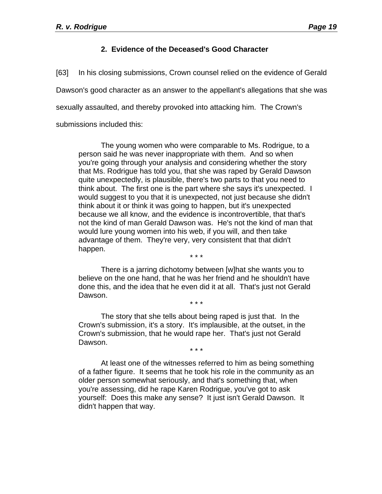# **2. Evidence of the Deceased's Good Character**

[63] In his closing submissions, Crown counsel relied on the evidence of Gerald

Dawson's good character as an answer to the appellant's allegations that she was

sexually assaulted, and thereby provoked into attacking him. The Crown's

submissions included this:

 The young women who were comparable to Ms. Rodrigue, to a person said he was never inappropriate with them. And so when you're going through your analysis and considering whether the story that Ms. Rodrigue has told you, that she was raped by Gerald Dawson quite unexpectedly, is plausible, there's two parts to that you need to think about. The first one is the part where she says it's unexpected. I would suggest to you that it is unexpected, not just because she didn't think about it or think it was going to happen, but it's unexpected because we all know, and the evidence is incontrovertible, that that's not the kind of man Gerald Dawson was. He's not the kind of man that would lure young women into his web, if you will, and then take advantage of them. They're very, very consistent that that didn't happen.

\* \* \*

 There is a jarring dichotomy between [w]hat she wants you to believe on the one hand, that he was her friend and he shouldn't have done this, and the idea that he even did it at all. That's just not Gerald Dawson. \* \* \*

 The story that she tells about being raped is just that. In the Crown's submission, it's a story. It's implausible, at the outset, in the Crown's submission, that he would rape her. That's just not Gerald Dawson.

\* \* \*

 At least one of the witnesses referred to him as being something of a father figure. It seems that he took his role in the community as an older person somewhat seriously, and that's something that, when you're assessing, did he rape Karen Rodrigue, you've got to ask yourself: Does this make any sense? It just isn't Gerald Dawson. It didn't happen that way.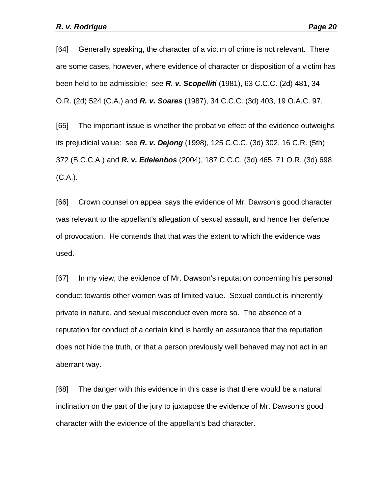[64] Generally speaking, the character of a victim of crime is not relevant. There are some cases, however, where evidence of character or disposition of a victim has been held to be admissible: see *R. v. Scopelliti* (1981), 63 C.C.C. (2d) 481, 34 O.R. (2d) 524 (C.A.) and *R. v. Soares* (1987), 34 C.C.C. (3d) 403, 19 O.A.C. 97.

[65] The important issue is whether the probative effect of the evidence outweighs its prejudicial value: see *R. v. Dejong* (1998), 125 C.C.C. (3d) 302, 16 C.R. (5th) 372 (B.C.C.A.) and *R. v. Edelenbos* (2004), 187 C.C.C. (3d) 465, 71 O.R. (3d) 698 (C.A.).

[66] Crown counsel on appeal says the evidence of Mr. Dawson's good character was relevant to the appellant's allegation of sexual assault, and hence her defence of provocation. He contends that that was the extent to which the evidence was used.

[67] In my view, the evidence of Mr. Dawson's reputation concerning his personal conduct towards other women was of limited value. Sexual conduct is inherently private in nature, and sexual misconduct even more so. The absence of a reputation for conduct of a certain kind is hardly an assurance that the reputation does not hide the truth, or that a person previously well behaved may not act in an aberrant way.

[68] The danger with this evidence in this case is that there would be a natural inclination on the part of the jury to juxtapose the evidence of Mr. Dawson's good character with the evidence of the appellant's bad character.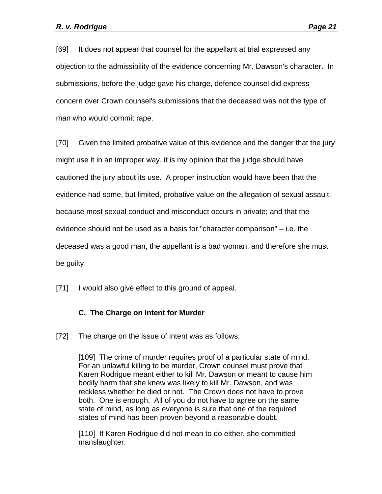[69] It does not appear that counsel for the appellant at trial expressed any objection to the admissibility of the evidence concerning Mr. Dawson's character. In submissions, before the judge gave his charge, defence counsel did express concern over Crown counsel's submissions that the deceased was not the type of man who would commit rape.

[70] Given the limited probative value of this evidence and the danger that the jury might use it in an improper way, it is my opinion that the judge should have cautioned the jury about its use. A proper instruction would have been that the evidence had some, but limited, probative value on the allegation of sexual assault, because most sexual conduct and misconduct occurs in private; and that the evidence should not be used as a basis for "character comparison" – i.e. the deceased was a good man, the appellant is a bad woman, and therefore she must be guilty.

[71] I would also give effect to this ground of appeal.

# **C. The Charge on Intent for Murder**

[72] The charge on the issue of intent was as follows:

[109] The crime of murder requires proof of a particular state of mind. For an unlawful killing to be murder, Crown counsel must prove that Karen Rodrigue meant either to kill Mr. Dawson or meant to cause him bodily harm that she knew was likely to kill Mr. Dawson, and was reckless whether he died or not. The Crown does not have to prove both. One is enough. All of you do not have to agree on the same state of mind, as long as everyone is sure that one of the required states of mind has been proven beyond a reasonable doubt.

[110] If Karen Rodrigue did not mean to do either, she committed manslaughter.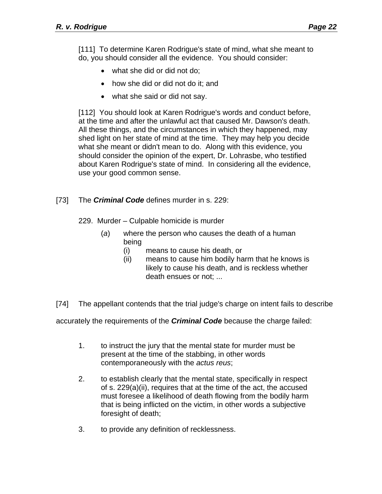[111] To determine Karen Rodrigue's state of mind, what she meant to do, you should consider all the evidence. You should consider:

- what she did or did not do;
- how she did or did not do it: and
- what she said or did not say.

[112] You should look at Karen Rodrigue's words and conduct before, at the time and after the unlawful act that caused Mr. Dawson's death. All these things, and the circumstances in which they happened, may shed light on her state of mind at the time. They may help you decide what she meant or didn't mean to do. Along with this evidence, you should consider the opinion of the expert, Dr. Lohrasbe, who testified about Karen Rodrigue's state of mind. In considering all the evidence, use your good common sense.

[73] The *Criminal Code* defines murder in s. 229:

229. Murder – Culpable homicide is murder

- (*a*) where the person who causes the death of a human being
	- (i) means to cause his death, or
	- (ii) means to cause him bodily harm that he knows is likely to cause his death, and is reckless whether death ensues or not; ...

[74] The appellant contends that the trial judge's charge on intent fails to describe

accurately the requirements of the *Criminal Code* because the charge failed:

- 1. to instruct the jury that the mental state for murder must be present at the time of the stabbing, in other words contemporaneously with the *actus reus*;
- 2. to establish clearly that the mental state, specifically in respect of s. 229(a)(ii), requires that at the time of the act, the accused must foresee a likelihood of death flowing from the bodily harm that is being inflicted on the victim, in other words a subjective foresight of death;
- 3. to provide any definition of recklessness.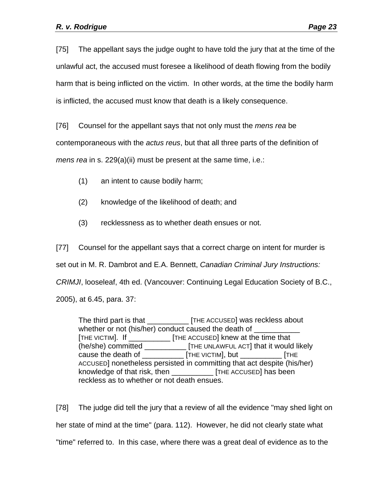[75] The appellant says the judge ought to have told the jury that at the time of the unlawful act, the accused must foresee a likelihood of death flowing from the bodily harm that is being inflicted on the victim. In other words, at the time the bodily harm is inflicted, the accused must know that death is a likely consequence.

[76] Counsel for the appellant says that not only must the *mens rea* be

contemporaneous with the *actus reus*, but that all three parts of the definition of

*mens rea* in s. 229(a)(ii) must be present at the same time, i.e.:

- (1) an intent to cause bodily harm;
- (2) knowledge of the likelihood of death; and
- (3) recklessness as to whether death ensues or not.

[77] Counsel for the appellant says that a correct charge on intent for murder is set out in M. R. Dambrot and E.A. Bennett, *Canadian Criminal Jury Instructions: CRIMJI*, looseleaf, 4th ed. (Vancouver: Continuing Legal Education Society of B.C., 2005), at 6.45, para. 37:

The third part is that \_\_\_\_\_\_\_\_\_\_ [THE ACCUSED] was reckless about whether or not (his/her) conduct caused the death of [THE VICTIM]. If \_\_\_\_\_\_\_\_\_\_ [THE ACCUSED] knew at the time that (he/she) committed \_\_\_\_\_\_\_\_\_\_ [THE UNLAWFUL ACT] that it would likely cause the death of \_\_\_\_\_\_\_\_\_\_ [THE VICTIM], but \_\_\_\_\_\_\_\_\_\_ [THE ACCUSED] nonetheless persisted in committing that act despite (his/her) knowledge of that risk, then **Fig. 1** [THE ACCUSED] has been reckless as to whether or not death ensues.

[78] The judge did tell the jury that a review of all the evidence "may shed light on her state of mind at the time" (para. 112). However, he did not clearly state what "time" referred to. In this case, where there was a great deal of evidence as to the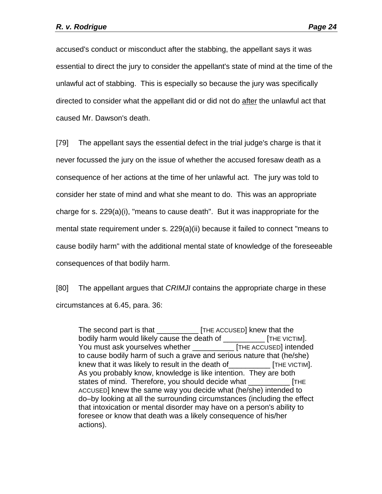accused's conduct or misconduct after the stabbing, the appellant says it was essential to direct the jury to consider the appellant's state of mind at the time of the unlawful act of stabbing. This is especially so because the jury was specifically directed to consider what the appellant did or did not do after the unlawful act that caused Mr. Dawson's death.

[79] The appellant says the essential defect in the trial judge's charge is that it never focussed the jury on the issue of whether the accused foresaw death as a consequence of her actions at the time of her unlawful act. The jury was told to consider her state of mind and what she meant to do. This was an appropriate charge for s. 229(a)(i), "means to cause death". But it was inappropriate for the mental state requirement under s. 229(a)(ii) because it failed to connect "means to cause bodily harm" with the additional mental state of knowledge of the foreseeable consequences of that bodily harm.

[80] The appellant argues that *CRIMJI* contains the appropriate charge in these circumstances at 6.45, para. 36:

The second part is that \_\_\_\_\_\_\_\_\_\_ [THE ACCUSED] knew that the bodily harm would likely cause the death of \_\_\_\_\_\_\_\_\_\_ [THE VICTIM]. You must ask yourselves whether \_\_\_\_\_\_\_\_\_\_ [THE ACCUSED] intended to cause bodily harm of such a grave and serious nature that (he/she) knew that it was likely to result in the death of THE VICTIM]. As you probably know, knowledge is like intention. They are both states of mind. Therefore, you should decide what FITHE ACCUSED] knew the same way you decide what (he/she) intended to do–by looking at all the surrounding circumstances (including the effect that intoxication or mental disorder may have on a person's ability to foresee or know that death was a likely consequence of his/her actions).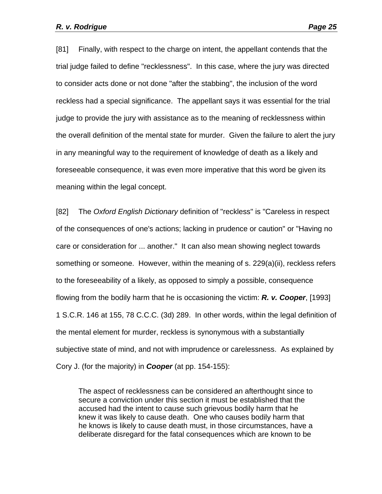[81] Finally, with respect to the charge on intent, the appellant contends that the trial judge failed to define "recklessness". In this case, where the jury was directed to consider acts done or not done "after the stabbing", the inclusion of the word reckless had a special significance. The appellant says it was essential for the trial judge to provide the jury with assistance as to the meaning of recklessness within the overall definition of the mental state for murder. Given the failure to alert the jury in any meaningful way to the requirement of knowledge of death as a likely and foreseeable consequence, it was even more imperative that this word be given its meaning within the legal concept.

[82] The *Oxford English Dictionary* definition of "reckless" is "Careless in respect of the consequences of one's actions; lacking in prudence or caution" or "Having no care or consideration for ... another." It can also mean showing neglect towards something or someone. However, within the meaning of s. 229(a)(ii), reckless refers to the foreseeability of a likely, as opposed to simply a possible, consequence flowing from the bodily harm that he is occasioning the victim: *R. v. Cooper*, [1993] 1 S.C.R. 146 at 155, 78 C.C.C. (3d) 289. In other words, within the legal definition of the mental element for murder, reckless is synonymous with a substantially subjective state of mind, and not with imprudence or carelessness. As explained by Cory J. (for the majority) in *Cooper* (at pp. 154-155):

The aspect of recklessness can be considered an afterthought since to secure a conviction under this section it must be established that the accused had the intent to cause such grievous bodily harm that he knew it was likely to cause death. One who causes bodily harm that he knows is likely to cause death must, in those circumstances, have a deliberate disregard for the fatal consequences which are known to be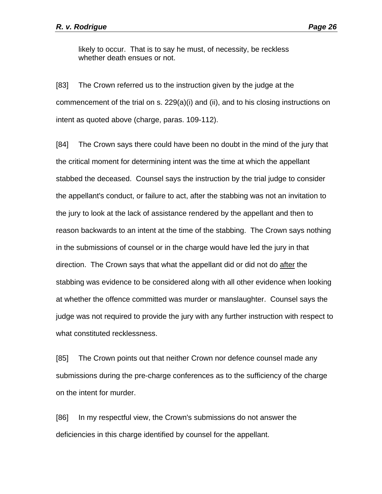likely to occur. That is to say he must, of necessity, be reckless whether death ensues or not.

[83] The Crown referred us to the instruction given by the judge at the commencement of the trial on s. 229(a)(i) and (ii), and to his closing instructions on intent as quoted above (charge, paras. 109-112).

[84] The Crown says there could have been no doubt in the mind of the jury that the critical moment for determining intent was the time at which the appellant stabbed the deceased. Counsel says the instruction by the trial judge to consider the appellant's conduct, or failure to act, after the stabbing was not an invitation to the jury to look at the lack of assistance rendered by the appellant and then to reason backwards to an intent at the time of the stabbing. The Crown says nothing in the submissions of counsel or in the charge would have led the jury in that direction. The Crown says that what the appellant did or did not do after the stabbing was evidence to be considered along with all other evidence when looking at whether the offence committed was murder or manslaughter. Counsel says the judge was not required to provide the jury with any further instruction with respect to what constituted recklessness.

[85] The Crown points out that neither Crown nor defence counsel made any submissions during the pre-charge conferences as to the sufficiency of the charge on the intent for murder.

[86] In my respectful view, the Crown's submissions do not answer the deficiencies in this charge identified by counsel for the appellant.